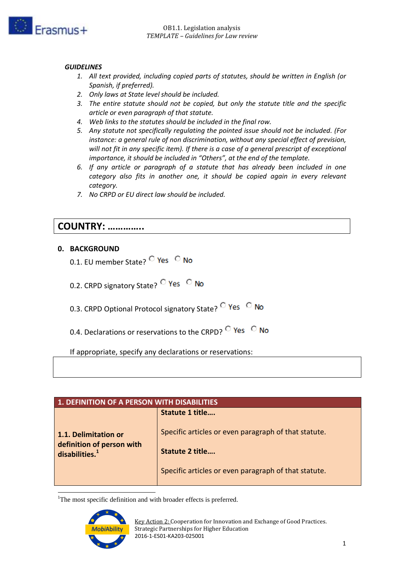

## *GUIDELINES*

- *1. All text provided, including copied parts of statutes, should be written in English (or Spanish, if preferred).*
- *2. Only laws at State level should be included.*
- *3. The entire statute should not be copied, but only the statute title and the specific article or even paragraph of that statute.*
- *4. Web links to the statutes should be included in the final row.*
- *5. Any statute not specifically regulating the pointed issue should not be included. (For instance: a general rule of non discrimination, without any special effect of prevision, will not fit in any specific item). If there is a case of a general prescript of exceptional importance, it should be included in "Others", at the end of the template.*
- *6. If any article or paragraph of a statute that has already been included in one category also fits in another one, it should be copied again in every relevant category.*
- *7. No CRPD or EU direct law should be included.*

## **COUNTRY: …………..**

## **0. BACKGROUND**

- 0.1. EU member State? <sup>C</sup> Yes C No
- 0.2. CRPD signatory State? <sup>O</sup> Yes O No
- 0.3. CRPD Optional Protocol signatory State? <sup>C</sup> Yes C No
- 0.4. Declarations or reservations to the CRPD?  $\overline{C}$  Yes  $\overline{C}$  No

If appropriate, specify any declarations or reservations:

| <b>1. DEFINITION OF A PERSON WITH DISABILITIES</b>                              |                                                                                                                                 |  |  |  |  |  |
|---------------------------------------------------------------------------------|---------------------------------------------------------------------------------------------------------------------------------|--|--|--|--|--|
|                                                                                 | <b>Statute 1 title</b>                                                                                                          |  |  |  |  |  |
| 1.1. Delimitation or<br>definition of person with<br>disabilities. <sup>1</sup> | Specific articles or even paragraph of that statute.<br>Statute 2 title<br>Specific articles or even paragraph of that statute. |  |  |  |  |  |
|                                                                                 |                                                                                                                                 |  |  |  |  |  |

1 <sup>1</sup>The most specific definition and with broader effects is preferred.

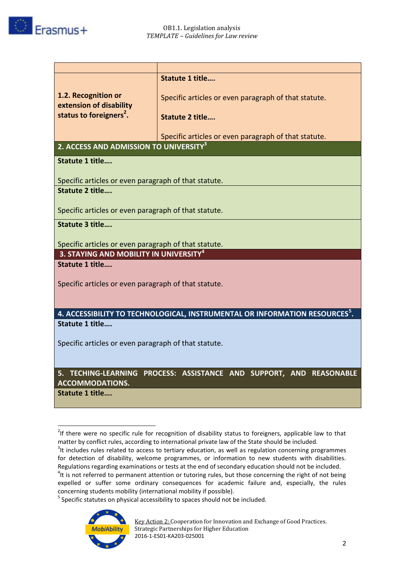

|                                                      | <b>Statute 1 title</b>                                                                  |  |  |  |  |  |  |
|------------------------------------------------------|-----------------------------------------------------------------------------------------|--|--|--|--|--|--|
| 1.2. Recognition or                                  |                                                                                         |  |  |  |  |  |  |
| extension of disability                              | Specific articles or even paragraph of that statute.                                    |  |  |  |  |  |  |
| status to foreigners <sup>2</sup> .                  | <b>Statute 2 title</b>                                                                  |  |  |  |  |  |  |
|                                                      |                                                                                         |  |  |  |  |  |  |
|                                                      | Specific articles or even paragraph of that statute.                                    |  |  |  |  |  |  |
| 2. ACCESS AND ADMISSION TO UNIVERSITY <sup>3</sup>   |                                                                                         |  |  |  |  |  |  |
| <b>Statute 1 title</b>                               |                                                                                         |  |  |  |  |  |  |
|                                                      |                                                                                         |  |  |  |  |  |  |
| Specific articles or even paragraph of that statute. |                                                                                         |  |  |  |  |  |  |
| <b>Statute 2 title</b>                               |                                                                                         |  |  |  |  |  |  |
| Specific articles or even paragraph of that statute. |                                                                                         |  |  |  |  |  |  |
| <b>Statute 3 title</b>                               |                                                                                         |  |  |  |  |  |  |
|                                                      |                                                                                         |  |  |  |  |  |  |
| Specific articles or even paragraph of that statute. |                                                                                         |  |  |  |  |  |  |
| 3. STAYING AND MOBILITY IN UNIVERSITY <sup>4</sup>   |                                                                                         |  |  |  |  |  |  |
| <b>Statute 1 title</b>                               |                                                                                         |  |  |  |  |  |  |
| Specific articles or even paragraph of that statute. |                                                                                         |  |  |  |  |  |  |
|                                                      |                                                                                         |  |  |  |  |  |  |
|                                                      |                                                                                         |  |  |  |  |  |  |
|                                                      | 4. ACCESSIBILITY TO TECHNOLOGICAL, INSTRUMENTAL OR INFORMATION RESOURCES <sup>5</sup> . |  |  |  |  |  |  |
| Statute 1 title                                      |                                                                                         |  |  |  |  |  |  |
| Specific articles or even paragraph of that statute. |                                                                                         |  |  |  |  |  |  |
|                                                      |                                                                                         |  |  |  |  |  |  |
|                                                      |                                                                                         |  |  |  |  |  |  |
|                                                      | 5. TECHING-LEARNING PROCESS: ASSISTANCE AND SUPPORT, AND REASONABLE                     |  |  |  |  |  |  |
| <b>ACCOMMODATIONS.</b><br><b>Statute 1 title</b>     |                                                                                         |  |  |  |  |  |  |
|                                                      |                                                                                         |  |  |  |  |  |  |

<sup>&</sup>lt;u>.</u>  $2$ If there were no specific rule for recognition of disability status to foreigners, applicable law to that matter by conflict rules, according to international private law of the State should be included.

<sup>&</sup>lt;sup>5</sup> Specific statutes on physical accessibility to spaces should not be included.



 $3$ It includes rules related to access to tertiary education, as well as regulation concerning programmes for detection of disability, welcome programmes, or information to new students with disabilities. Regulations regarding examinations or tests at the end of secondary education should not be included.

 $4$ It is not referred to permanent attention or tutoring rules, but those concerning the right of not being expelled or suffer some ordinary consequences for academic failure and, especially, the rules concerning students mobility (international mobility if possible).